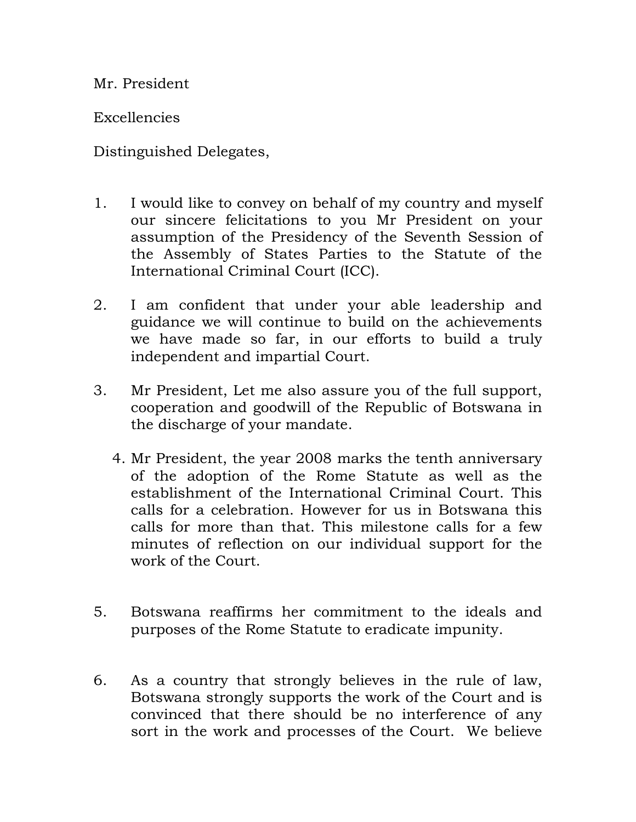Mr. President

**Excellencies** 

Distinguished Delegates,

- 1. I would like to convey on behalf of my country and myself our sincere felicitations to you Mr President on your assumption of the Presidency of the Seventh Session of the Assembly of States Parties to the Statute of the International Criminal Court (ICC).
- 2. I am confident that under your able leadership and guidance we will continue to build on the achievements we have made so far, in our efforts to build a truly independent and impartial Court.
- 3. Mr President, Let me also assure you of the full support, cooperation and goodwill of the Republic of Botswana in the discharge of your mandate.
	- 4. Mr President, the year 2008 marks the tenth anniversary of the adoption of the Rome Statute as well as the establishment of the International Criminal Court. This calls for a celebration. However for us in Botswana this calls for more than that. This milestone calls for a few minutes of reflection on our individual support for the work of the Court.
- 5. Botswana reaffirms her commitment to the ideals and purposes of the Rome Statute to eradicate impunity.
- 6. As a country that strongly believes in the rule of law, Botswana strongly supports the work of the Court and is convinced that there should be no interference of any sort in the work and processes of the Court. We believe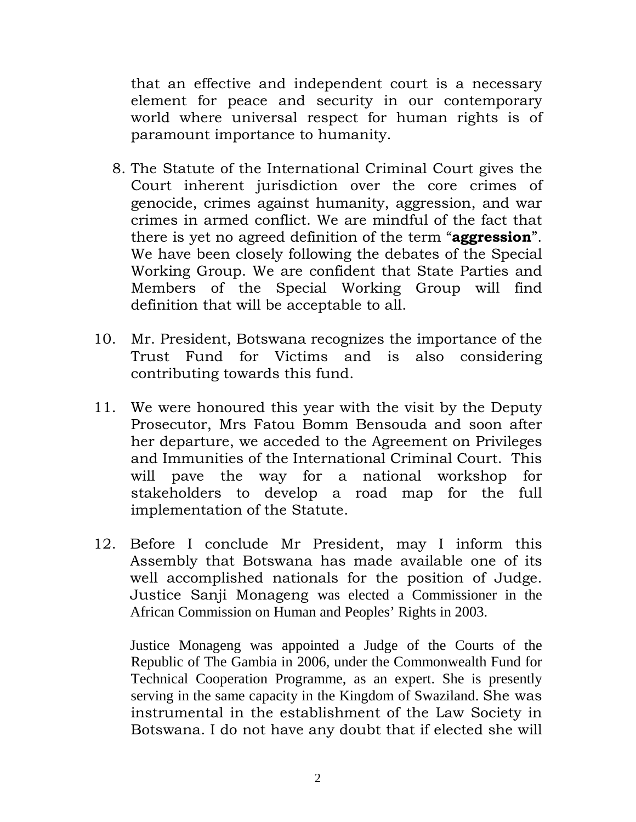that an effective and independent court is a necessary element for peace and security in our contemporary world where universal respect for human rights is of paramount importance to humanity.

- 8. The Statute of the International Criminal Court gives the Court inherent jurisdiction over the core crimes of genocide, crimes against humanity, aggression, and war crimes in armed conflict. We are mindful of the fact that there is yet no agreed definition of the term "aggression". We have been closely following the debates of the Special Working Group. We are confident that State Parties and Members of the Special Working Group will find definition that will be acceptable to all.
- 10. Mr. President, Botswana recognizes the importance of the Trust Fund for Victims and is also considering contributing towards this fund.
- 11. We were honoured this year with the visit by the Deputy Prosecutor, Mrs Fatou Bomm Bensouda and soon after her departure, we acceded to the Agreement on Privileges and Immunities of the International Criminal Court. This will pave the way for a national workshop for stakeholders to develop a road map for the full implementation of the Statute.
- 12. Before I conclude Mr President, may I inform this Assembly that Botswana has made available one of its well accomplished nationals for the position of Judge. Justice Sanji Monageng was elected a Commissioner in the African Commission on Human and Peoples' Rights in 2003.

Justice Monageng was appointed a Judge of the Courts of the Republic of The Gambia in 2006, under the Commonwealth Fund for Technical Cooperation Programme, as an expert. She is presently serving in the same capacity in the Kingdom of Swaziland. She was instrumental in the establishment of the Law Society in Botswana. I do not have any doubt that if elected she will